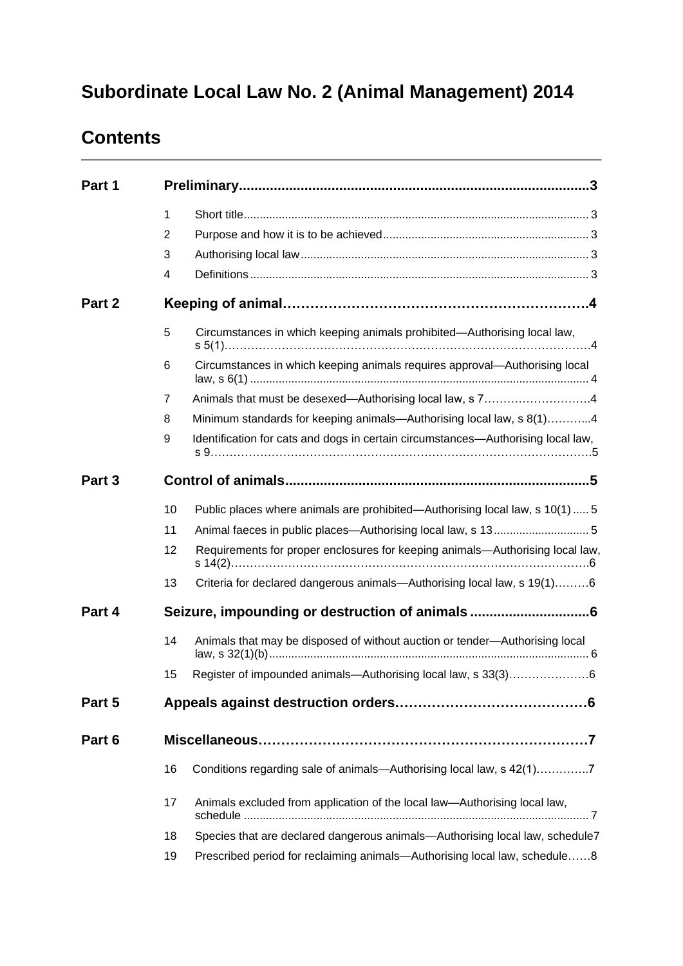# **Subordinate Local Law No. 2 (Animal Management) 2014**

# **Contents**

| Part 1 |    |                                                                                  |
|--------|----|----------------------------------------------------------------------------------|
|        | 1  |                                                                                  |
|        | 2  |                                                                                  |
|        | 3  |                                                                                  |
|        | 4  |                                                                                  |
| Part 2 |    |                                                                                  |
|        | 5  | Circumstances in which keeping animals prohibited-Authorising local law,         |
|        | 6  | Circumstances in which keeping animals requires approval-Authorising local       |
|        | 7  | Animals that must be desexed—Authorising local law, s 74                         |
|        | 8  | Minimum standards for keeping animals—Authorising local law, s 8(1)4             |
|        | 9  | Identification for cats and dogs in certain circumstances-Authorising local law, |
| Part 3 |    |                                                                                  |
|        | 10 | Public places where animals are prohibited—Authorising local law, s 10(1)  5     |
|        | 11 |                                                                                  |
|        | 12 | Requirements for proper enclosures for keeping animals-Authorising local law,    |
|        | 13 | Criteria for declared dangerous animals-Authorising local law, s 19(1)6          |
| Part 4 |    | Seizure, impounding or destruction of animals                                    |
|        | 14 | Animals that may be disposed of without auction or tender-Authorising local      |
|        | 15 | Register of impounded animals-Authorising local law, s 33(3)6                    |
| Part 5 |    |                                                                                  |
| Part 6 |    |                                                                                  |
|        | 16 | Conditions regarding sale of animals-Authorising local law, s 42(1)7             |
|        | 17 | Animals excluded from application of the local law—Authorising local law,        |
|        | 18 | Species that are declared dangerous animals-Authorising local law, schedule7     |
|        | 19 | Prescribed period for reclaiming animals—Authorising local law, schedule8        |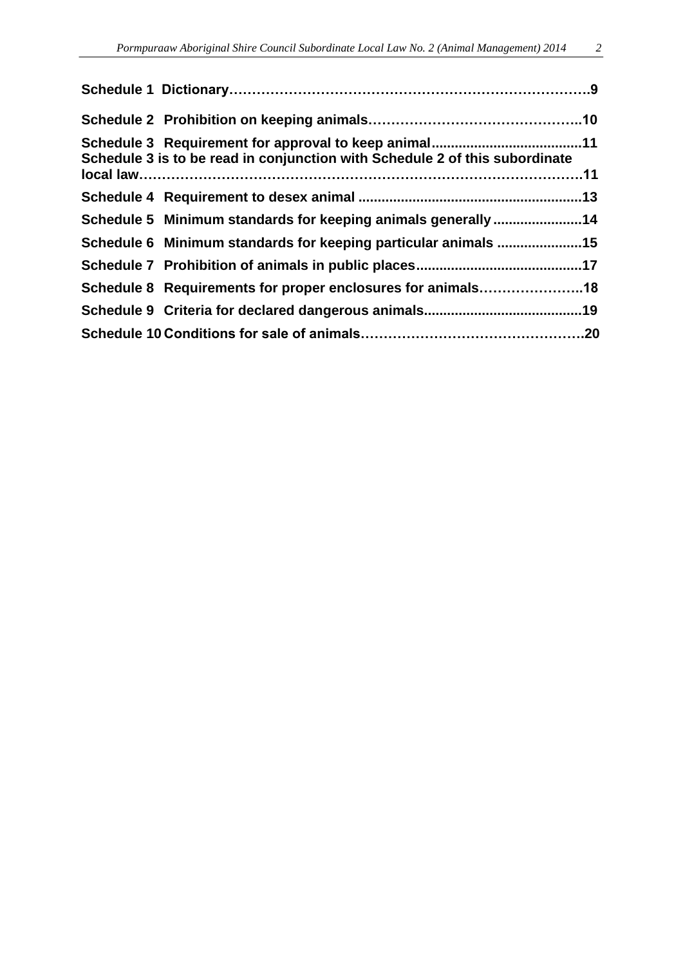| Schedule 3 is to be read in conjunction with Schedule 2 of this subordinate |  |
|-----------------------------------------------------------------------------|--|
|                                                                             |  |
| Schedule 5 Minimum standards for keeping animals generally 14               |  |
| Schedule 6 Minimum standards for keeping particular animals 15              |  |
|                                                                             |  |
| Schedule 8 Requirements for proper enclosures for animals18                 |  |
|                                                                             |  |
|                                                                             |  |
|                                                                             |  |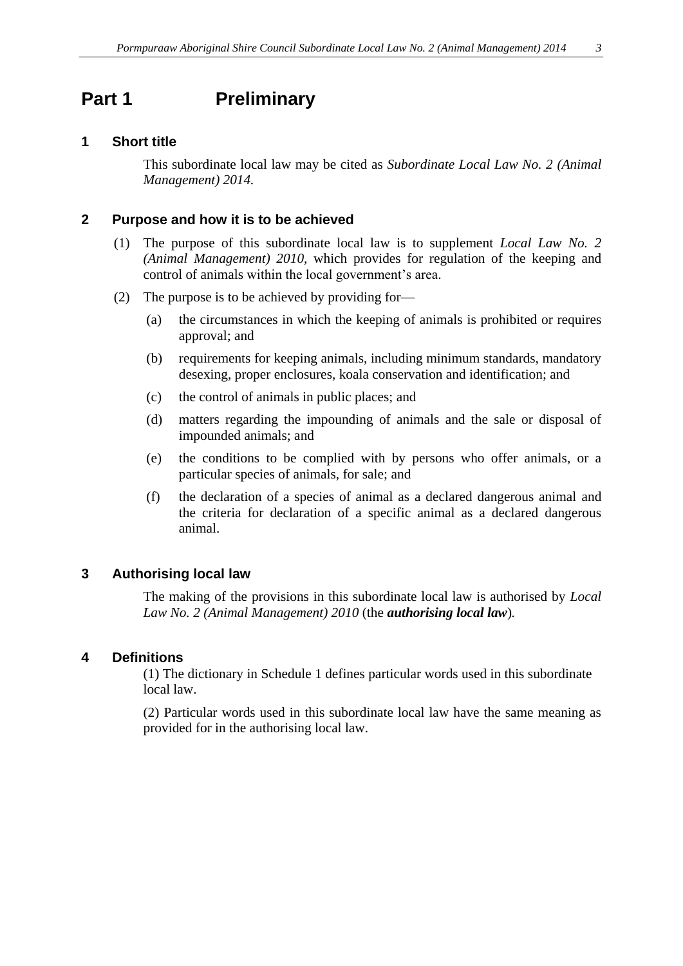## <span id="page-2-0"></span>**Part 1 Preliminary**

### <span id="page-2-1"></span>**1 Short title**

This subordinate local law may be cited as *Subordinate Local Law No. 2 (Animal Management) 2014.*

### <span id="page-2-2"></span>**2 Purpose and how it is to be achieved**

- (1) The purpose of this subordinate local law is to supplement *Local Law No. 2 (Animal Management) 2010,* which provides for regulation of the keeping and control of animals within the local government's area.
- (2) The purpose is to be achieved by providing for—
	- (a) the circumstances in which the keeping of animals is prohibited or requires approval; and
	- (b) requirements for keeping animals, including minimum standards, mandatory desexing, proper enclosures, koala conservation and identification; and
	- (c) the control of animals in public places; and
	- (d) matters regarding the impounding of animals and the sale or disposal of impounded animals; and
	- (e) the conditions to be complied with by persons who offer animals, or a particular species of animals, for sale; and
	- (f) the declaration of a species of animal as a declared dangerous animal and the criteria for declaration of a specific animal as a declared dangerous animal.

### <span id="page-2-3"></span>**3 Authorising local law**

The making of the provisions in this subordinate local law is authorised by *Local Law No. 2 (Animal Management) 2010* (the *authorising local law*)*.*

### <span id="page-2-4"></span>**4 Definitions**

(1) The dictionary in Schedule 1 defines particular words used in this subordinate local law.

(2) Particular words used in this subordinate local law have the same meaning as provided for in the authorising local law.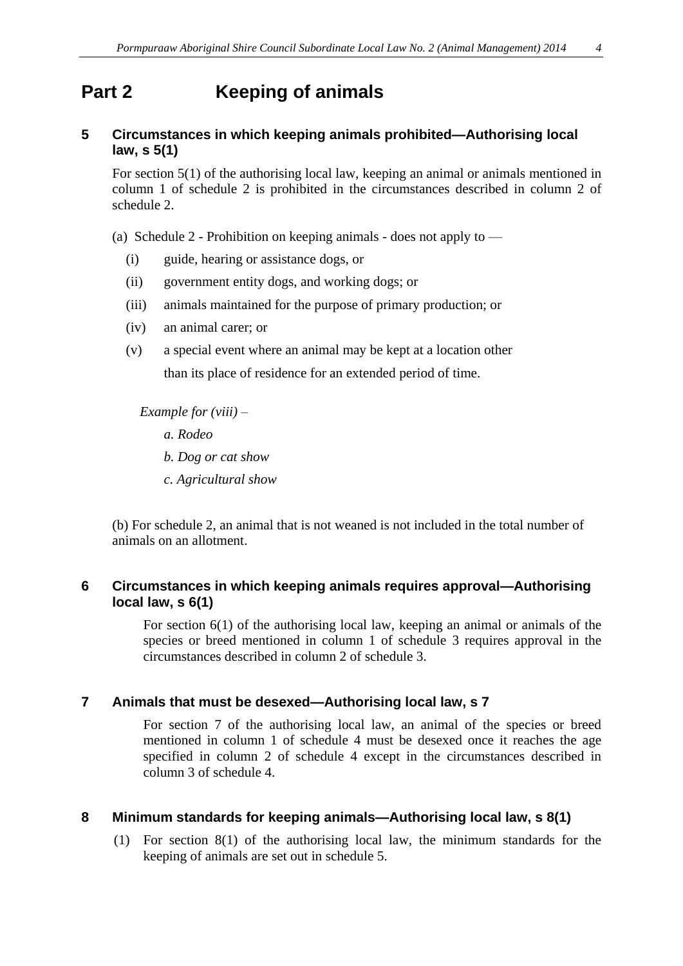## **Part 2 Keeping of animals**

### **5 Circumstances in which keeping animals prohibited—Authorising local law, s 5(1)**

For section 5(1) of the authorising local law, keeping an animal or animals mentioned in column 1 of schedule 2 is prohibited in the circumstances described in column 2 of schedule 2.

- (a) Schedule 2 Prohibition on keeping animals does not apply to
	- (i) guide, hearing or assistance dogs, or
	- (ii) government entity dogs, and working dogs; or
	- (iii) animals maintained for the purpose of primary production; or
	- (iv) an animal carer; or
	- (v) a special event where an animal may be kept at a location other than its place of residence for an extended period of time.

 *Example for (viii) – a. Rodeo b. Dog or cat show c. Agricultural show*

(b) For schedule 2, an animal that is not weaned is not included in the total number of animals on an allotment.

### <span id="page-3-0"></span>**6 Circumstances in which keeping animals requires approval—Authorising local law, s 6(1)**

For section 6(1) of the authorising local law, keeping an animal or animals of the species or breed mentioned in column 1 of schedule 3 requires approval in the circumstances described in column 2 of schedule 3.

### **7 Animals that must be desexed—Authorising local law, s 7**

For section 7 of the authorising local law, an animal of the species or breed mentioned in column 1 of schedule 4 must be desexed once it reaches the age specified in column 2 of schedule 4 except in the circumstances described in column 3 of schedule 4.

### **8 Minimum standards for keeping animals—Authorising local law, s 8(1)**

(1) For section 8(1) of the authorising local law, the minimum standards for the keeping of animals are set out in schedule 5.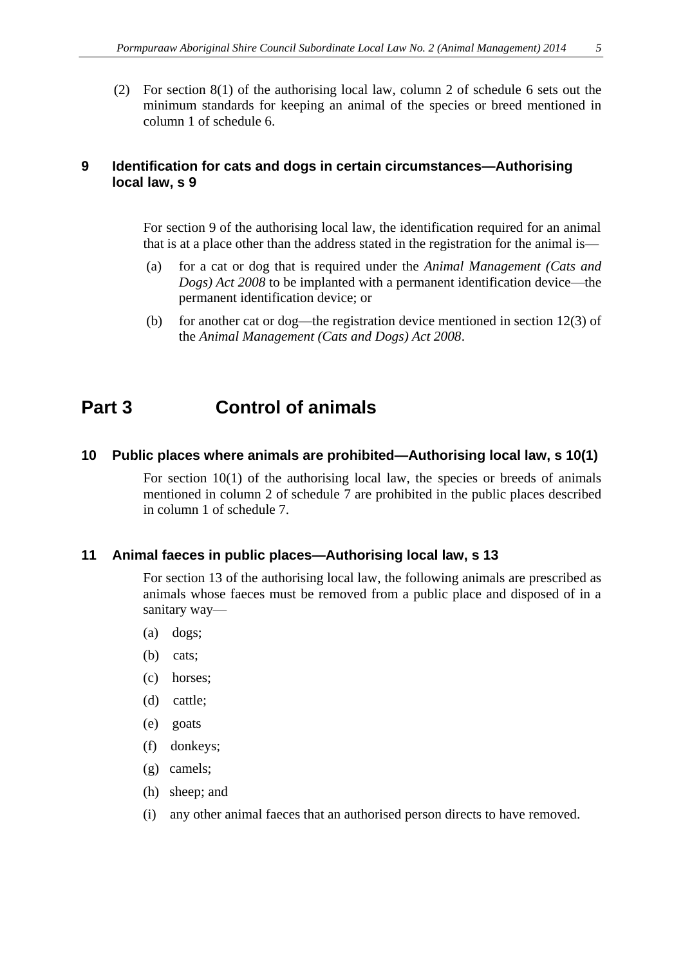(2) For section 8(1) of the authorising local law, column 2 of schedule 6 sets out the minimum standards for keeping an animal of the species or breed mentioned in column 1 of schedule 6.

### **9 Identification for cats and dogs in certain circumstances—Authorising local law, s 9**

For section 9 of the authorising local law, the identification required for an animal that is at a place other than the address stated in the registration for the animal is—

- (a) for a cat or dog that is required under the *Animal Management (Cats and Dogs) Act 2008* to be implanted with a permanent identification device—the permanent identification device; or
- (b) for another cat or dog—the registration device mentioned in section  $12(3)$  of the *Animal Management (Cats and Dogs) Act 2008*.

## <span id="page-4-0"></span>**Part 3 Control of animals**

### <span id="page-4-1"></span>**10 Public places where animals are prohibited—Authorising local law, s 10(1)**

For section 10(1) of the authorising local law, the species or breeds of animals mentioned in column 2 of schedule 7 are prohibited in the public places described in column 1 of schedule 7.

### <span id="page-4-2"></span>**11 Animal faeces in public places—Authorising local law, s 13**

For section 13 of the authorising local law, the following animals are prescribed as animals whose faeces must be removed from a public place and disposed of in a sanitary way—

- (a) dogs;
- (b) cats;
- (c) horses;
- (d) cattle;
- (e) goats
- (f) donkeys;
- (g) camels;
- (h) sheep; and
- (i) any other animal faeces that an authorised person directs to have removed.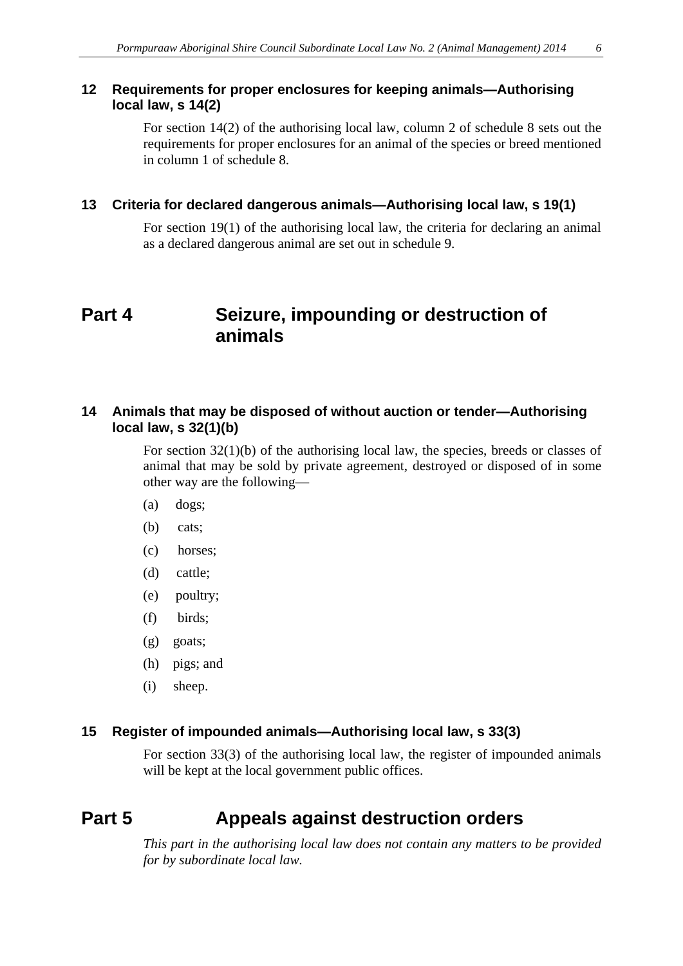### **12 Requirements for proper enclosures for keeping animals—Authorising local law, s 14(2)**

For section 14(2) of the authorising local law, column 2 of schedule 8 sets out the requirements for proper enclosures for an animal of the species or breed mentioned in column 1 of schedule 8.

### **13 Criteria for declared dangerous animals—Authorising local law, s 19(1)**

For section 19(1) of the authorising local law, the criteria for declaring an animal as a declared dangerous animal are set out in schedule 9.

## <span id="page-5-0"></span>**Part 4 Seizure, impounding or destruction of animals**

### <span id="page-5-1"></span>**14 Animals that may be disposed of without auction or tender—Authorising local law, s 32(1)(b)**

For section 32(1)(b) of the authorising local law, the species, breeds or classes of animal that may be sold by private agreement, destroyed or disposed of in some other way are the following—

- (a) dogs;
- (b) cats;
- (c) horses;
- (d) cattle;
- (e) poultry;
- (f) birds;
- (g) goats;
- (h) pigs; and
- (i) sheep.

### **15 Register of impounded animals—Authorising local law, s 33(3)**

For section 33(3) of the authorising local law, the register of impounded animals will be kept at the local government public offices.

## **Part 5 Appeals against destruction orders**

*This part in the authorising local law does not contain any matters to be provided for by subordinate local law.*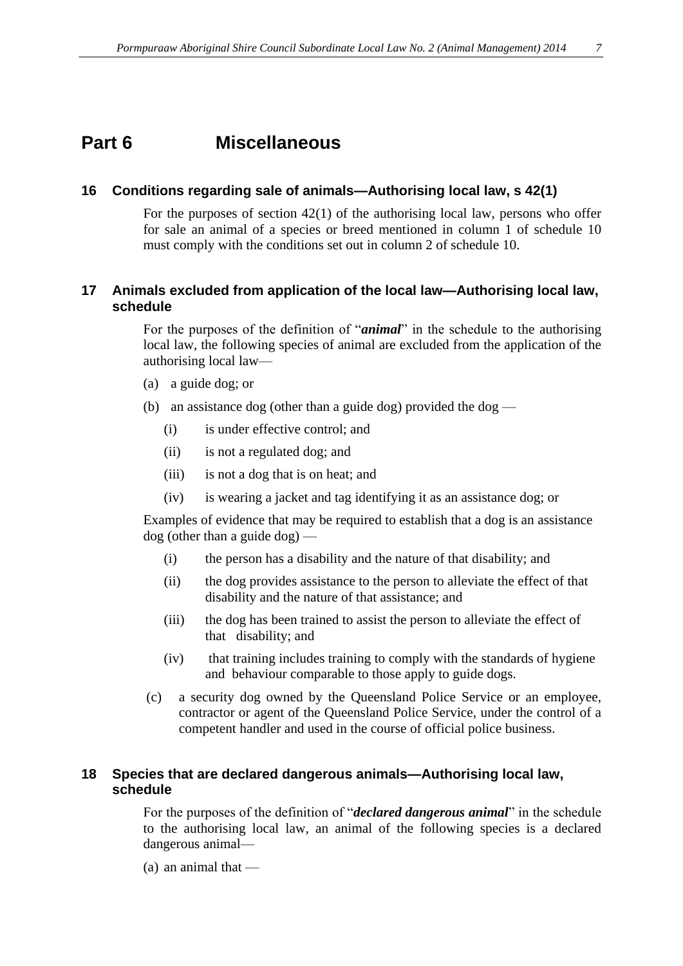## **Part 6 Miscellaneous**

### **16 Conditions regarding sale of animals—Authorising local law, s 42(1)**

For the purposes of section 42(1) of the authorising local law, persons who offer for sale an animal of a species or breed mentioned in column 1 of schedule 10 must comply with the conditions set out in column 2 of schedule 10.

### <span id="page-6-0"></span>**17 Animals excluded from application of the local law—Authorising local law, schedule**

For the purposes of the definition of "*animal*" in the schedule to the authorising local law, the following species of animal are excluded from the application of the authorising local law—

- (a) a guide dog; or
- (b) an assistance dog (other than a guide dog) provided the dog
	- (i) is under effective control; and
	- (ii) is not a regulated dog; and
	- (iii) is not a dog that is on heat; and
	- (iv) is wearing a jacket and tag identifying it as an assistance dog; or

Examples of evidence that may be required to establish that a dog is an assistance dog (other than a guide dog) —

- (i) the person has a disability and the nature of that disability; and
- (ii) the dog provides assistance to the person to alleviate the effect of that disability and the nature of that assistance; and
- (iii) the dog has been trained to assist the person to alleviate the effect of that disability; and
- (iv) that training includes training to comply with the standards of hygiene and behaviour comparable to those apply to guide dogs.
- (c) a security dog owned by the Queensland Police Service or an employee, contractor or agent of the Queensland Police Service, under the control of a competent handler and used in the course of official police business.

### **18 Species that are declared dangerous animals—Authorising local law, schedule**

For the purposes of the definition of "*declared dangerous animal*" in the schedule to the authorising local law, an animal of the following species is a declared dangerous animal—

(a) an animal that —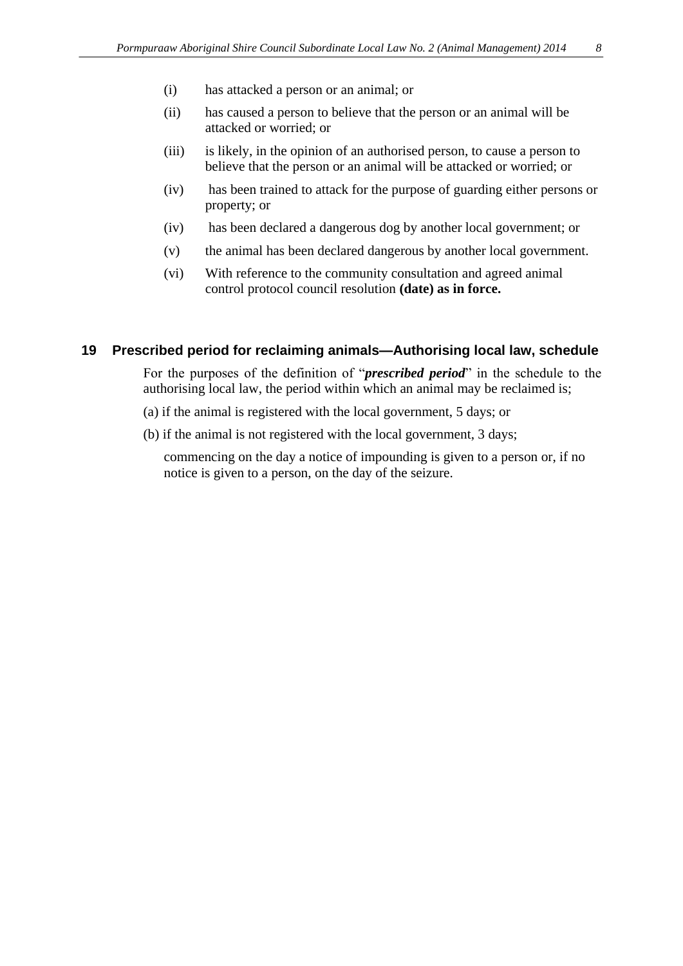- (i) has attacked a person or an animal; or
- (ii) has caused a person to believe that the person or an animal will be attacked or worried; or
- (iii) is likely, in the opinion of an authorised person, to cause a person to believe that the person or an animal will be attacked or worried; or
- (iv) has been trained to attack for the purpose of guarding either persons or property; or
- (iv) has been declared a dangerous dog by another local government; or
- (v) the animal has been declared dangerous by another local government.
- (vi) With reference to the community consultation and agreed animal control protocol council resolution **(date) as in force.**

### **19 Prescribed period for reclaiming animals—Authorising local law, schedule**

For the purposes of the definition of "*prescribed period*" in the schedule to the authorising local law, the period within which an animal may be reclaimed is;

- (a) if the animal is registered with the local government, 5 days; or
- (b) if the animal is not registered with the local government, 3 days;

commencing on the day a notice of impounding is given to a person or, if no notice is given to a person, on the day of the seizure.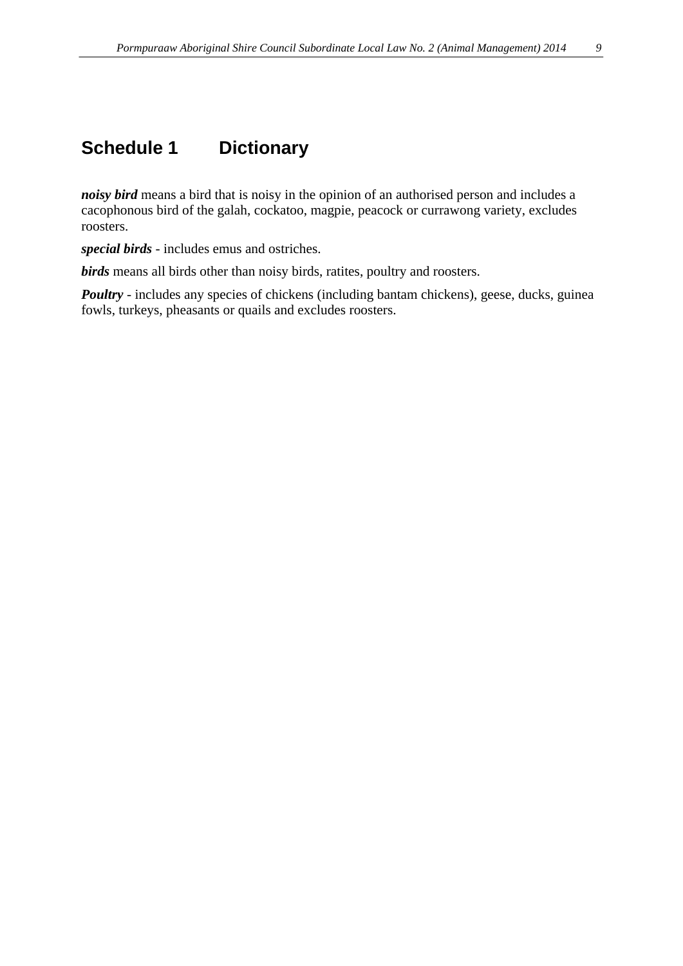# **Schedule 1 Dictionary**

*noisy bird* means a bird that is noisy in the opinion of an authorised person and includes a cacophonous bird of the galah, cockatoo, magpie, peacock or currawong variety, excludes roosters.

*special birds* - includes emus and ostriches.

*birds* means all birds other than noisy birds, ratites, poultry and roosters.

*Poultry* - includes any species of chickens (including bantam chickens), geese, ducks, guinea fowls, turkeys, pheasants or quails and excludes roosters.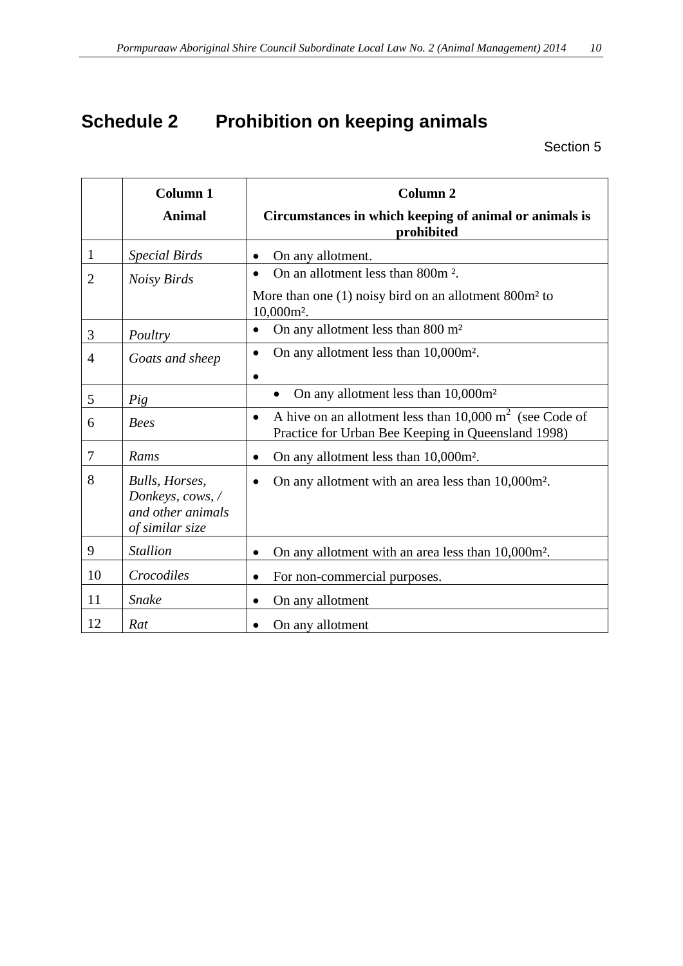# **Schedule 2 Prohibition on keeping animals**

|                | <b>Column 1</b>                                                            | Column <sub>2</sub>                                                                                                                   |  |
|----------------|----------------------------------------------------------------------------|---------------------------------------------------------------------------------------------------------------------------------------|--|
|                | <b>Animal</b>                                                              | Circumstances in which keeping of animal or animals is<br>prohibited                                                                  |  |
| $\mathbf{1}$   | <b>Special Birds</b>                                                       | On any allotment.<br>$\bullet$                                                                                                        |  |
| $\overline{2}$ | <b>Noisy Birds</b>                                                         | On an allotment less than 800m <sup>2</sup> .<br>$\bullet$                                                                            |  |
|                |                                                                            | More than one $(1)$ noisy bird on an allotment $800m2$ to<br>$10,000m^2$ .                                                            |  |
| 3              | Poultry                                                                    | On any allotment less than 800 m <sup>2</sup><br>$\bullet$                                                                            |  |
| 4              | Goats and sheep                                                            | On any allotment less than 10,000m <sup>2</sup> .<br>$\bullet$                                                                        |  |
|                |                                                                            |                                                                                                                                       |  |
| 5              | Pig                                                                        | On any allotment less than 10,000m <sup>2</sup>                                                                                       |  |
| 6              | <b>Bees</b>                                                                | A hive on an allotment less than $10,000 \text{ m}^2$ (see Code of<br>$\bullet$<br>Practice for Urban Bee Keeping in Queensland 1998) |  |
| 7              | Rams                                                                       | On any allotment less than 10,000m <sup>2</sup> .                                                                                     |  |
| 8              | Bulls, Horses,<br>Donkeys, cows, /<br>and other animals<br>of similar size | On any allotment with an area less than 10,000m <sup>2</sup> .                                                                        |  |
| 9              | <b>Stallion</b>                                                            | On any allotment with an area less than 10,000m <sup>2</sup> .<br>$\bullet$                                                           |  |
| 10             | Crocodiles                                                                 | For non-commercial purposes.<br>$\bullet$                                                                                             |  |
| 11             | <b>Snake</b>                                                               | On any allotment                                                                                                                      |  |
| 12             | Rat                                                                        | On any allotment                                                                                                                      |  |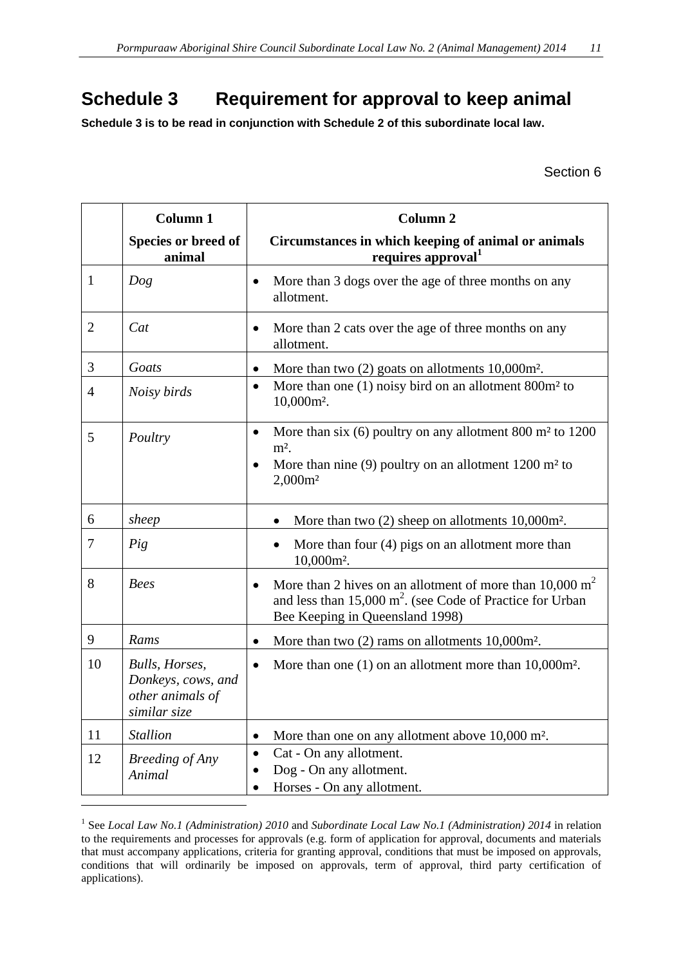# <span id="page-10-0"></span>**Schedule 3 Requirement for approval to keep animal**

**Schedule 3 is to be read in conjunction with Schedule 2 of this subordinate local law.**

Section 6

|                | <b>Column 1</b>                                                                          | <b>Column 2</b>                                                                                                                                                                             |
|----------------|------------------------------------------------------------------------------------------|---------------------------------------------------------------------------------------------------------------------------------------------------------------------------------------------|
|                | Species or breed of<br>animal                                                            | Circumstances in which keeping of animal or animals<br>requires approval <sup>1</sup>                                                                                                       |
| $\mathbf{1}$   | Dog                                                                                      | More than 3 dogs over the age of three months on any<br>$\bullet$<br>allotment.                                                                                                             |
| $\overline{2}$ | Cat                                                                                      | More than 2 cats over the age of three months on any<br>allotment.                                                                                                                          |
| 3              | Goats                                                                                    | More than two $(2)$ goats on allotments $10,000$ m <sup>2</sup> .<br>$\bullet$                                                                                                              |
| $\overline{4}$ | Noisy birds                                                                              | More than one $(1)$ noisy bird on an allotment 800 $m2$ to<br>$\bullet$<br>$10,000m^2$ .                                                                                                    |
| 5              | Poultry                                                                                  | More than six $(6)$ poultry on any allotment 800 m <sup>2</sup> to 1200<br>$\bullet$<br>$m2$ .<br>More than nine $(9)$ poultry on an allotment 1200 m <sup>2</sup> to<br>$2,000m^2$         |
| 6              | sheep                                                                                    | More than two $(2)$ sheep on allotments $10,000$ m <sup>2</sup> .                                                                                                                           |
| 7              | Pig                                                                                      | More than four $(4)$ pigs on an allotment more than<br>$10,000m^2$ .                                                                                                                        |
| 8              | <b>Bees</b>                                                                              | More than 2 hives on an allotment of more than $10,000 \text{ m}^2$<br>$\bullet$<br>and less than $15,000 \text{ m}^2$ . (see Code of Practice for Urban<br>Bee Keeping in Queensland 1998) |
| 9              | Rams                                                                                     | More than two $(2)$ rams on allotments $10,000$ m <sup>2</sup> .<br>$\bullet$                                                                                                               |
| 10             | <b>Bulls</b> , <i>Horses</i> ,<br>Donkeys, cows, and<br>other animals of<br>similar size | More than one $(1)$ on an allotment more than $10,000$ m <sup>2</sup> .<br>$\bullet$                                                                                                        |
| 11             | <b>Stallion</b>                                                                          | More than one on any allotment above 10,000 m <sup>2</sup> .<br>$\bullet$                                                                                                                   |
| 12             | <b>Breeding of Any</b><br>Animal                                                         | Cat - On any allotment.<br>$\bullet$<br>Dog - On any allotment.<br>$\bullet$<br>Horses - On any allotment.<br>$\bullet$                                                                     |

<sup>1</sup> See *Local Law No.1 (Administration) 2010* and *Subordinate Local Law No.1 (Administration) 2014* in relation to the requirements and processes for approvals (e.g. form of application for approval, documents and materials that must accompany applications, criteria for granting approval, conditions that must be imposed on approvals, conditions that will ordinarily be imposed on approvals, term of approval, third party certification of applications).

1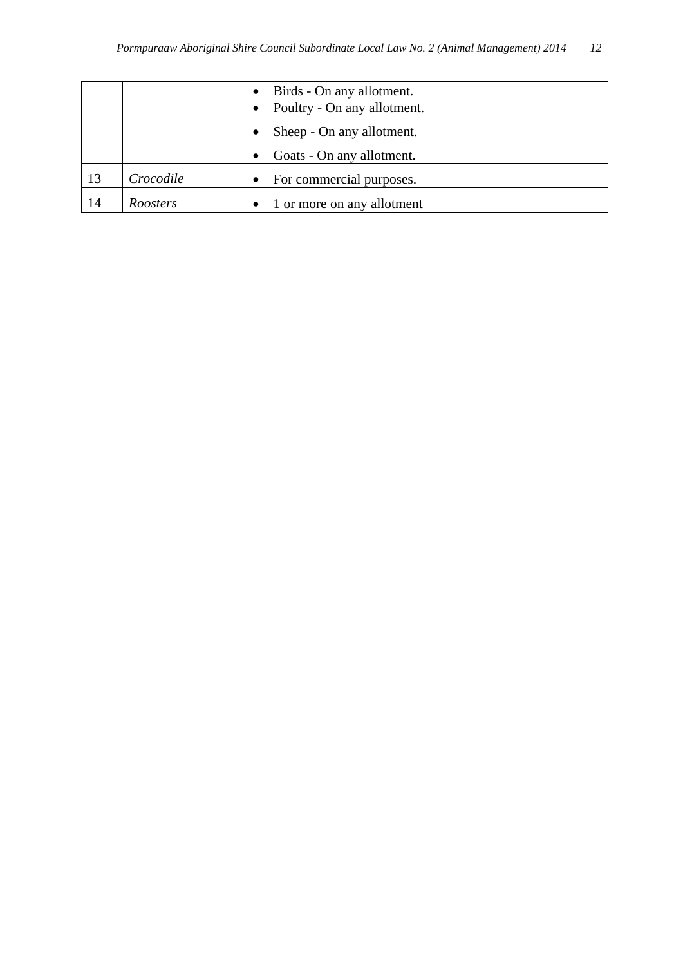|     |           |           | Birds - On any allotment.<br>Poultry - On any allotment. |
|-----|-----------|-----------|----------------------------------------------------------|
|     |           |           | Sheep - On any allotment.                                |
|     |           |           | Goats - On any allotment.                                |
| -13 | Crocodile | $\bullet$ | For commercial purposes.                                 |
| -14 | Roosters  |           | 1 or more on any allotment                               |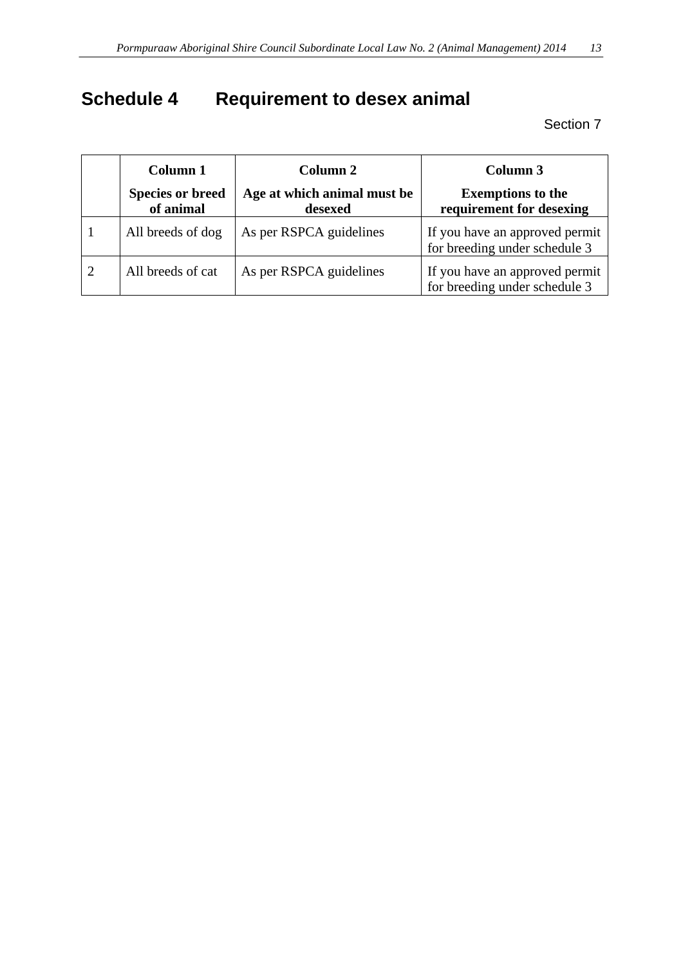# <span id="page-12-0"></span>**Schedule 4 Requirement to desex animal**

| Column 1                             | Column 2                               | Column 3                                                        |  |
|--------------------------------------|----------------------------------------|-----------------------------------------------------------------|--|
| <b>Species or breed</b><br>of animal | Age at which animal must be<br>desexed | <b>Exemptions to the</b><br>requirement for desexing            |  |
| All breeds of dog                    | As per RSPCA guidelines                | If you have an approved permit<br>for breeding under schedule 3 |  |
| All breeds of cat                    | As per RSPCA guidelines                | If you have an approved permit<br>for breeding under schedule 3 |  |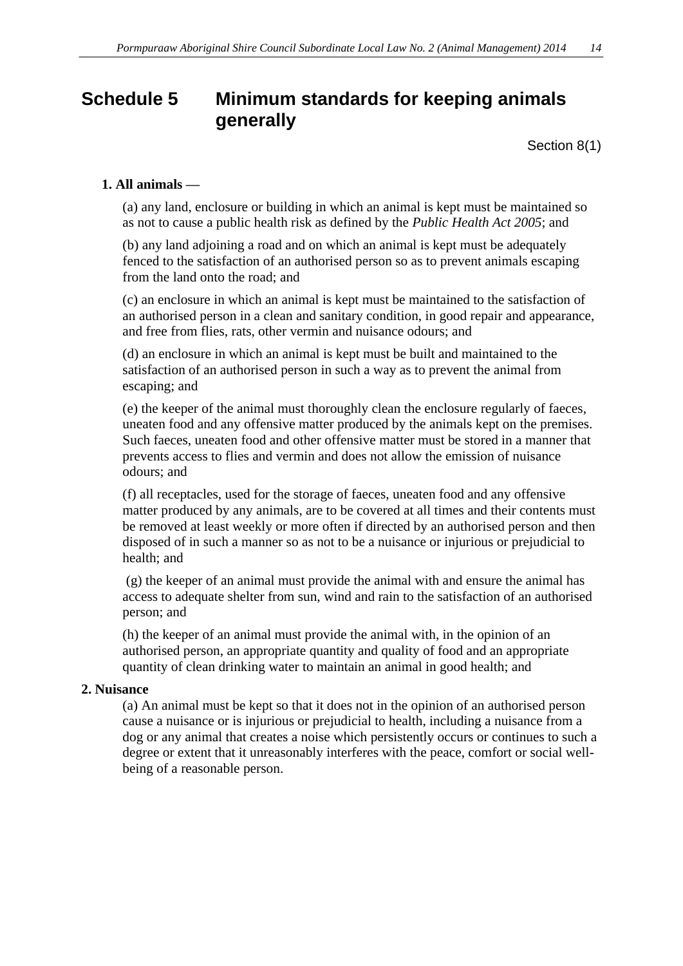# <span id="page-13-0"></span>**Schedule 5 Minimum standards for keeping animals generally**

Section 8(1)

### **1. All animals —**

(a) any land, enclosure or building in which an animal is kept must be maintained so as not to cause a public health risk as defined by the *Public Health Act 2005*; and

(b) any land adjoining a road and on which an animal is kept must be adequately fenced to the satisfaction of an authorised person so as to prevent animals escaping from the land onto the road; and

(c) an enclosure in which an animal is kept must be maintained to the satisfaction of an authorised person in a clean and sanitary condition, in good repair and appearance, and free from flies, rats, other vermin and nuisance odours; and

(d) an enclosure in which an animal is kept must be built and maintained to the satisfaction of an authorised person in such a way as to prevent the animal from escaping; and

(e) the keeper of the animal must thoroughly clean the enclosure regularly of faeces, uneaten food and any offensive matter produced by the animals kept on the premises. Such faeces, uneaten food and other offensive matter must be stored in a manner that prevents access to flies and vermin and does not allow the emission of nuisance odours; and

(f) all receptacles, used for the storage of faeces, uneaten food and any offensive matter produced by any animals, are to be covered at all times and their contents must be removed at least weekly or more often if directed by an authorised person and then disposed of in such a manner so as not to be a nuisance or injurious or prejudicial to health; and

(g) the keeper of an animal must provide the animal with and ensure the animal has access to adequate shelter from sun, wind and rain to the satisfaction of an authorised person; and

(h) the keeper of an animal must provide the animal with, in the opinion of an authorised person, an appropriate quantity and quality of food and an appropriate quantity of clean drinking water to maintain an animal in good health; and

### **2. Nuisance**

(a) An animal must be kept so that it does not in the opinion of an authorised person cause a nuisance or is injurious or prejudicial to health, including a nuisance from a dog or any animal that creates a noise which persistently occurs or continues to such a degree or extent that it unreasonably interferes with the peace, comfort or social wellbeing of a reasonable person.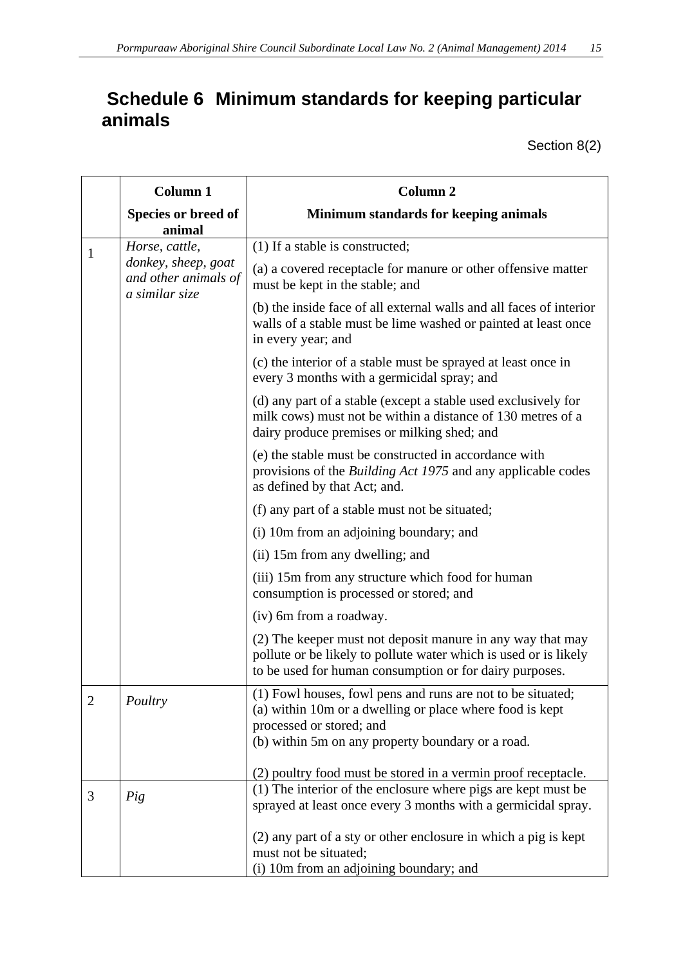# <span id="page-14-0"></span>**Schedule 6 Minimum standards for keeping particular animals**

Section 8(2)

|                | <b>Column 1</b>                             | Column <sub>2</sub>                                                                                                                                                                                      |  |
|----------------|---------------------------------------------|----------------------------------------------------------------------------------------------------------------------------------------------------------------------------------------------------------|--|
|                | Species or breed of<br>animal               | Minimum standards for keeping animals                                                                                                                                                                    |  |
| 1              | Horse, cattle,                              | (1) If a stable is constructed;                                                                                                                                                                          |  |
|                | donkey, sheep, goat<br>and other animals of | (a) a covered receptacle for manure or other offensive matter<br>must be kept in the stable; and                                                                                                         |  |
|                | a similar size                              | (b) the inside face of all external walls and all faces of interior<br>walls of a stable must be lime washed or painted at least once<br>in every year; and                                              |  |
|                |                                             | (c) the interior of a stable must be sprayed at least once in<br>every 3 months with a germicidal spray; and                                                                                             |  |
|                |                                             | (d) any part of a stable (except a stable used exclusively for<br>milk cows) must not be within a distance of 130 metres of a<br>dairy produce premises or milking shed; and                             |  |
|                |                                             | (e) the stable must be constructed in accordance with<br>provisions of the <i>Building Act 1975</i> and any applicable codes<br>as defined by that Act; and.                                             |  |
|                |                                             | (f) any part of a stable must not be situated;                                                                                                                                                           |  |
|                |                                             | (i) 10m from an adjoining boundary; and                                                                                                                                                                  |  |
|                |                                             | (ii) 15m from any dwelling; and                                                                                                                                                                          |  |
|                |                                             | (iii) 15m from any structure which food for human<br>consumption is processed or stored; and                                                                                                             |  |
|                |                                             | (iv) 6m from a roadway.                                                                                                                                                                                  |  |
|                |                                             | (2) The keeper must not deposit manure in any way that may<br>pollute or be likely to pollute water which is used or is likely<br>to be used for human consumption or for dairy purposes.                |  |
| $\overline{2}$ | Poultry                                     | (1) Fowl houses, fowl pens and runs are not to be situated;<br>(a) within 10m or a dwelling or place where food is kept<br>processed or stored; and<br>(b) within 5m on any property boundary or a road. |  |
|                |                                             |                                                                                                                                                                                                          |  |
|                |                                             | (2) poultry food must be stored in a vermin proof receptacle.<br>(1) The interior of the enclosure where pigs are kept must be                                                                           |  |
| 3              | Pig                                         | sprayed at least once every 3 months with a germicidal spray.                                                                                                                                            |  |
|                |                                             | (2) any part of a sty or other enclosure in which a pig is kept<br>must not be situated;                                                                                                                 |  |
|                |                                             | (i) 10m from an adjoining boundary; and                                                                                                                                                                  |  |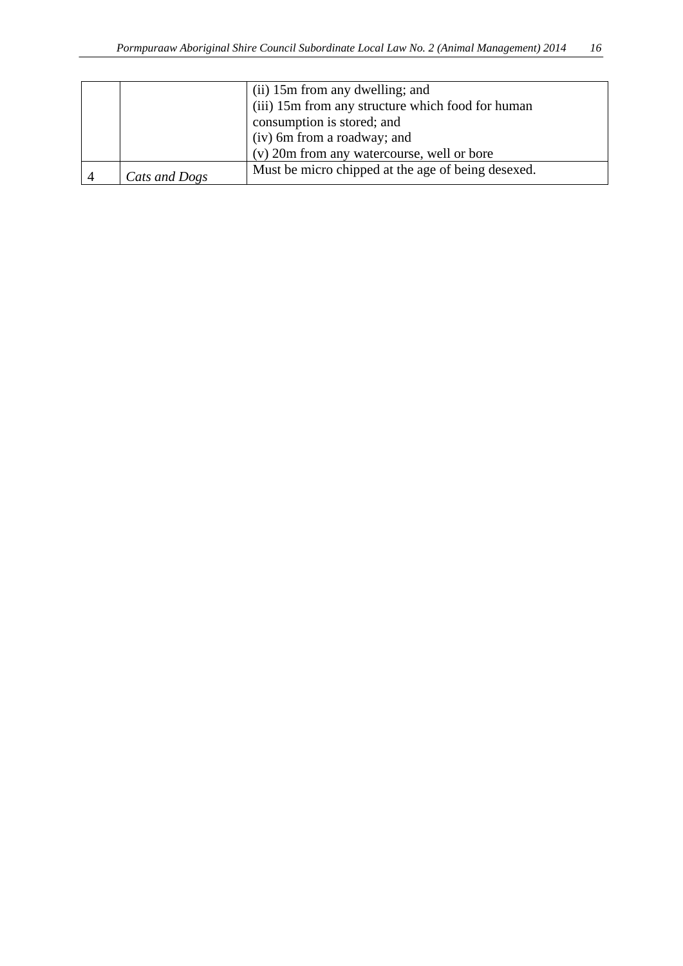|               | (ii) 15m from any dwelling; and<br>(iii) 15m from any structure which food for human<br>consumption is stored; and<br>(iv) 6m from a roadway; and<br>(v) 20m from any watercourse, well or bore |
|---------------|-------------------------------------------------------------------------------------------------------------------------------------------------------------------------------------------------|
| Cats and Dogs | Must be micro chipped at the age of being desexed.                                                                                                                                              |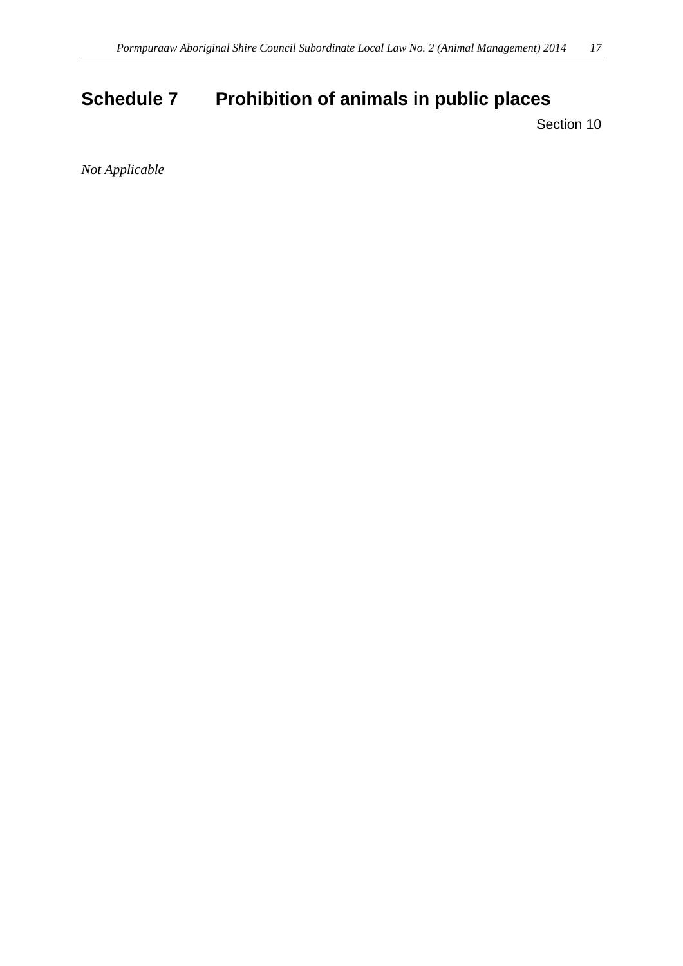# <span id="page-16-0"></span>**Schedule 7 Prohibition of animals in public places**

Section 10

*Not Applicable*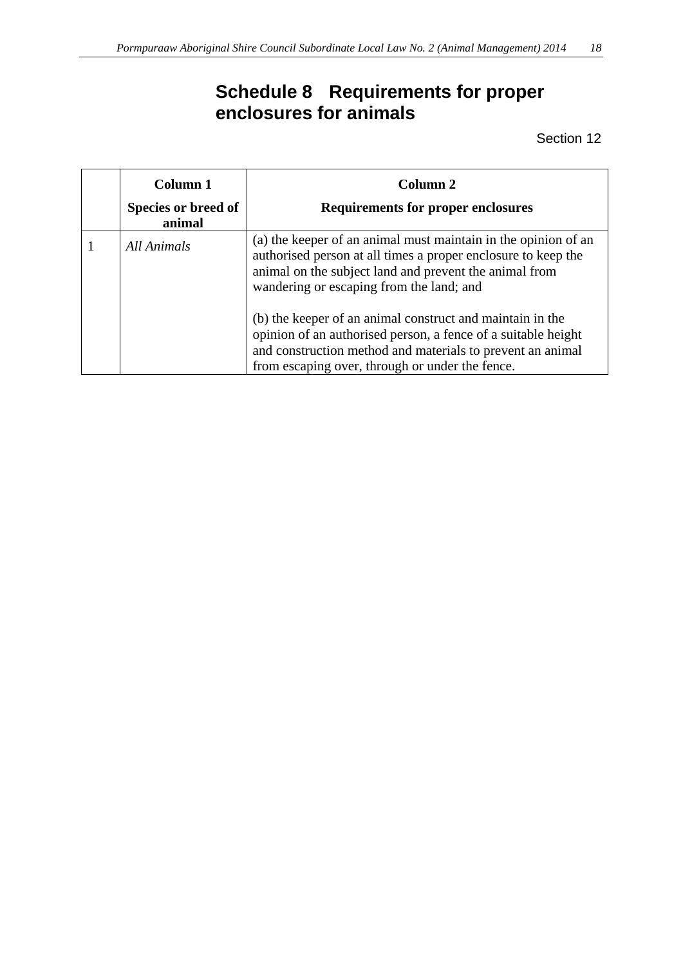# **Schedule 8 Requirements for proper enclosures for animals**

| Column 1            | Column 2                                                                                                                                                                                                                                    |
|---------------------|---------------------------------------------------------------------------------------------------------------------------------------------------------------------------------------------------------------------------------------------|
| Species or breed of | <b>Requirements for proper enclosures</b>                                                                                                                                                                                                   |
| animal              |                                                                                                                                                                                                                                             |
| All Animals         | (a) the keeper of an animal must maintain in the opinion of an<br>authorised person at all times a proper enclosure to keep the<br>animal on the subject land and prevent the animal from<br>wandering or escaping from the land; and       |
|                     | (b) the keeper of an animal construct and maintain in the<br>opinion of an authorised person, a fence of a suitable height<br>and construction method and materials to prevent an animal<br>from escaping over, through or under the fence. |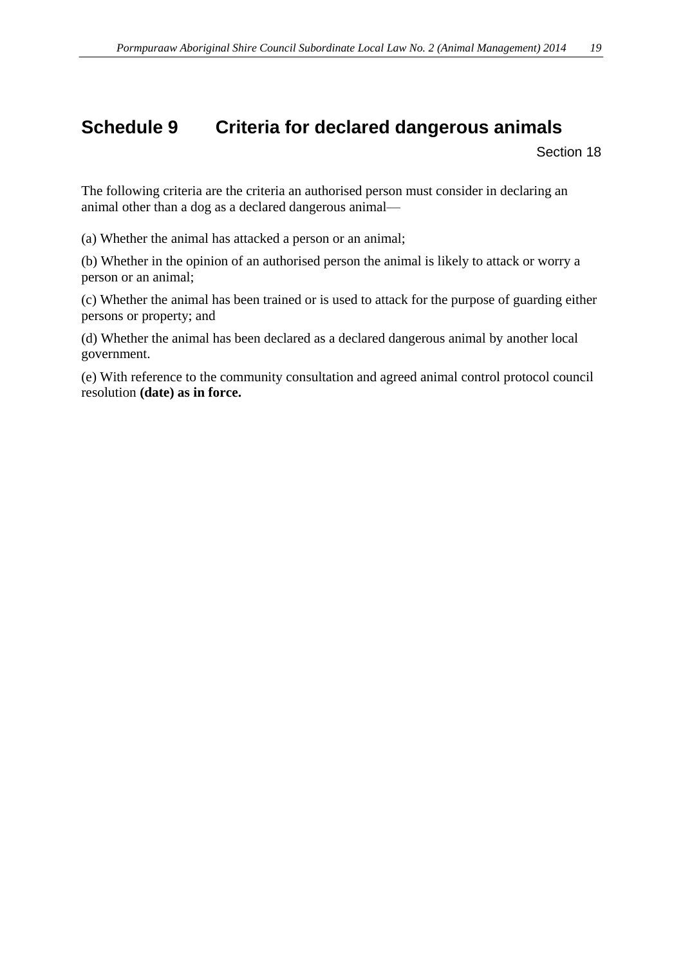## <span id="page-18-0"></span>**Schedule 9 Criteria for declared dangerous animals**

Section 18

The following criteria are the criteria an authorised person must consider in declaring an animal other than a dog as a declared dangerous animal—

(a) Whether the animal has attacked a person or an animal;

(b) Whether in the opinion of an authorised person the animal is likely to attack or worry a person or an animal;

(c) Whether the animal has been trained or is used to attack for the purpose of guarding either persons or property; and

(d) Whether the animal has been declared as a declared dangerous animal by another local government.

(e) With reference to the community consultation and agreed animal control protocol council resolution **(date) as in force.**